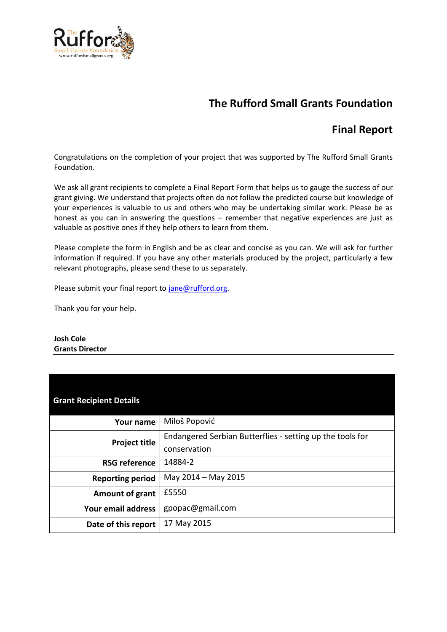

# **The Rufford Small Grants Foundation**

## **Final Report**

Congratulations on the completion of your project that was supported by The Rufford Small Grants Foundation.

We ask all grant recipients to complete a Final Report Form that helps us to gauge the success of our grant giving. We understand that projects often do not follow the predicted course but knowledge of your experiences is valuable to us and others who may be undertaking similar work. Please be as honest as you can in answering the questions – remember that negative experiences are just as valuable as positive ones if they help others to learn from them.

Please complete the form in English and be as clear and concise as you can. We will ask for further information if required. If you have any other materials produced by the project, particularly a few relevant photographs, please send these to us separately.

Please submit your final report to [jane@rufford.org.](mailto:jane@rufford.org)

Thank you for your help.

#### **Josh Cole Grants Director**

| <b>Grant Recipient Details</b> |                                                                           |
|--------------------------------|---------------------------------------------------------------------------|
| <b>Your name</b>               | Miloš Popović                                                             |
| <b>Project title</b>           | Endangered Serbian Butterflies - setting up the tools for<br>conservation |
| <b>RSG reference</b>           | 14884-2                                                                   |
| <b>Reporting period</b>        | May 2014 - May 2015                                                       |
| Amount of grant                | £5550                                                                     |
| Your email address             | gpopac@gmail.com                                                          |
| Date of this report            | 17 May 2015                                                               |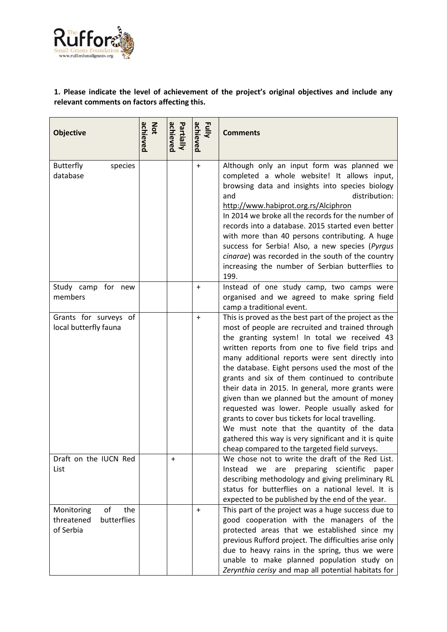

## **1. Please indicate the level of achievement of the project's original objectives and include any relevant comments on factors affecting this.**

| <b>Objective</b>                                                  | achieved<br>Not | achieved<br>Partially | achieved<br>Fully | <b>Comments</b>                                                                                                                                                                                                                                                                                                                                                                                                                                                                                                                                                                                                                                                                                                                           |
|-------------------------------------------------------------------|-----------------|-----------------------|-------------------|-------------------------------------------------------------------------------------------------------------------------------------------------------------------------------------------------------------------------------------------------------------------------------------------------------------------------------------------------------------------------------------------------------------------------------------------------------------------------------------------------------------------------------------------------------------------------------------------------------------------------------------------------------------------------------------------------------------------------------------------|
| <b>Butterfly</b><br>species<br>database                           |                 |                       | $+$               | Although only an input form was planned we<br>completed a whole website! It allows input,<br>browsing data and insights into species biology<br>distribution:<br>and<br>http://www.habiprot.org.rs/Alciphron<br>In 2014 we broke all the records for the number of<br>records into a database. 2015 started even better<br>with more than 40 persons contributing. A huge<br>success for Serbia! Also, a new species (Pyrgus<br>cinarae) was recorded in the south of the country<br>increasing the number of Serbian butterflies to<br>199.                                                                                                                                                                                              |
| Study camp for new<br>members                                     |                 |                       | $\ddot{}$         | Instead of one study camp, two camps were<br>organised and we agreed to make spring field<br>camp a traditional event.                                                                                                                                                                                                                                                                                                                                                                                                                                                                                                                                                                                                                    |
| Grants for surveys of<br>local butterfly fauna                    |                 |                       | $\ddot{}$         | This is proved as the best part of the project as the<br>most of people are recruited and trained through<br>the granting system! In total we received 43<br>written reports from one to five field trips and<br>many additional reports were sent directly into<br>the database. Eight persons used the most of the<br>grants and six of them continued to contribute<br>their data in 2015. In general, more grants were<br>given than we planned but the amount of money<br>requested was lower. People usually asked for<br>grants to cover bus tickets for local travelling.<br>We must note that the quantity of the data<br>gathered this way is very significant and it is quite<br>cheap compared to the targeted field surveys. |
| Draft on the IUCN Red<br>List                                     |                 | +                     |                   | We chose not to write the draft of the Red List.<br>Instead<br>preparing scientific<br>we<br>are<br>paper<br>describing methodology and giving preliminary RL<br>status for butterflies on a national level. It is<br>expected to be published by the end of the year.                                                                                                                                                                                                                                                                                                                                                                                                                                                                    |
| the<br>of<br>Monitoring<br>butterflies<br>threatened<br>of Serbia |                 |                       | $\ddot{}$         | This part of the project was a huge success due to<br>good cooperation with the managers of the<br>protected areas that we established since my<br>previous Rufford project. The difficulties arise only<br>due to heavy rains in the spring, thus we were<br>unable to make planned population study on<br>Zerynthia cerisy and map all potential habitats for                                                                                                                                                                                                                                                                                                                                                                           |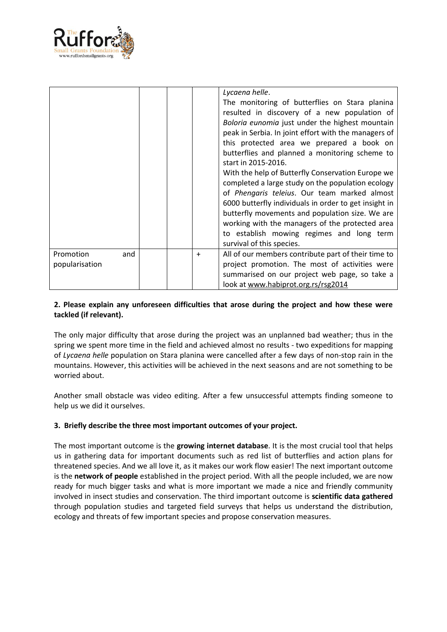

|                                    |           | Lycaena helle.<br>The monitoring of butterflies on Stara planina<br>resulted in discovery of a new population of<br>Boloria eunomia just under the highest mountain<br>peak in Serbia. In joint effort with the managers of<br>this protected area we prepared a book on<br>butterflies and planned a monitoring scheme to<br>start in 2015-2016.<br>With the help of Butterfly Conservation Europe we<br>completed a large study on the population ecology<br>of Phengaris teleius. Our team marked almost<br>6000 butterfly individuals in order to get insight in<br>butterfly movements and population size. We are<br>working with the managers of the protected area<br>to establish mowing regimes and long term<br>survival of this species. |
|------------------------------------|-----------|------------------------------------------------------------------------------------------------------------------------------------------------------------------------------------------------------------------------------------------------------------------------------------------------------------------------------------------------------------------------------------------------------------------------------------------------------------------------------------------------------------------------------------------------------------------------------------------------------------------------------------------------------------------------------------------------------------------------------------------------------|
| Promotion<br>and<br>popularisation | $\ddot{}$ | All of our members contribute part of their time to<br>project promotion. The most of activities were<br>summarised on our project web page, so take a<br>look at www.habiprot.org.rs/rsg2014                                                                                                                                                                                                                                                                                                                                                                                                                                                                                                                                                        |

## **2. Please explain any unforeseen difficulties that arose during the project and how these were tackled (if relevant).**

The only major difficulty that arose during the project was an unplanned bad weather; thus in the spring we spent more time in the field and achieved almost no results - two expeditions for mapping of *Lycaena helle* population on Stara planina were cancelled after a few days of non-stop rain in the mountains. However, this activities will be achieved in the next seasons and are not something to be worried about.

Another small obstacle was video editing. After a few unsuccessful attempts finding someone to help us we did it ourselves.

## **3. Briefly describe the three most important outcomes of your project.**

The most important outcome is the **growing internet database**. It is the most crucial tool that helps us in gathering data for important documents such as red list of butterflies and action plans for threatened species. And we all love it, as it makes our work flow easier! The next important outcome is the **network of people** established in the project period. With all the people included, we are now ready for much bigger tasks and what is more important we made a nice and friendly community involved in insect studies and conservation. The third important outcome is **scientific data gathered** through population studies and targeted field surveys that helps us understand the distribution, ecology and threats of few important species and propose conservation measures.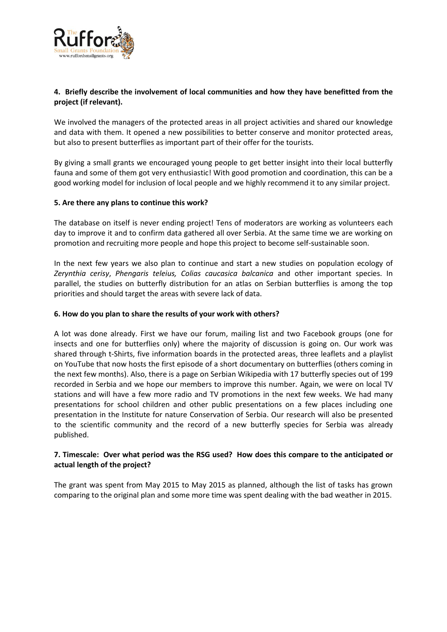

## **4. Briefly describe the involvement of local communities and how they have benefitted from the project (if relevant).**

We involved the managers of the protected areas in all project activities and shared our knowledge and data with them. It opened a new possibilities to better conserve and monitor protected areas, but also to present butterflies as important part of their offer for the tourists.

By giving a small grants we encouraged young people to get better insight into their local butterfly fauna and some of them got very enthusiastic! With good promotion and coordination, this can be a good working model for inclusion of local people and we highly recommend it to any similar project.

#### **5. Are there any plans to continue this work?**

The database on itself is never ending project! Tens of moderators are working as volunteers each day to improve it and to confirm data gathered all over Serbia. At the same time we are working on promotion and recruiting more people and hope this project to become self-sustainable soon.

In the next few years we also plan to continue and start a new studies on population ecology of *Zerynthia cerisy*, *Phengaris teleius, Colias caucasica balcanica* and other important species. In parallel, the studies on butterfly distribution for an atlas on Serbian butterflies is among the top priorities and should target the areas with severe lack of data.

#### **6. How do you plan to share the results of your work with others?**

A lot was done already. First we have our [forum,](http://forum.biodiv.petnica.rs/) [mailing list](https://groups.google.com/forum/#!forum/butterflyserbia) and two Facebook groups (one for [insects](https://www.facebook.com/groups/insectserbia) and one for [butterflies](https://www.facebook.com/groups/butterflyserbia) only) where the majority of discussion is going on. Our work was shared through t-Shirts, five information boards in the protected areas, three leaflets and a playlist on [YouTube](https://www.youtube.com/playlist?list=PLuZiC_ya-hsTKqHySDLMvQyLuRCMY4u-1) that now hosts the first episode of a short documentary on butterflies (others coming in the next few months). Also, there is a page o[n Serbian Wikipedia](https://sr.wikipedia.org/wiki/Категорија:Дневни_лептири_Србије) with 17 butterfly species out of 199 recorded in Serbia and we hope our members to improve this number. Again, we were on local TV stations and will have a few more radio and TV promotions in the next few weeks. We had many presentations for school children and other public presentations on a few places including one presentation in the Institute for nature Conservation of Serbia. Our research will also be presented to the scientific community and the record of a new butterfly species for Serbia was [already](http://aes.bio.bg.ac.rs/index.php/aes/article/view/20)  [published.](http://aes.bio.bg.ac.rs/index.php/aes/article/view/20)

#### **7. Timescale: Over what period was the RSG used? How does this compare to the anticipated or actual length of the project?**

The grant was spent from May 2015 to May 2015 as planned, although the list of tasks has grown comparing to the original plan and some more time was spent dealing with the bad weather in 2015.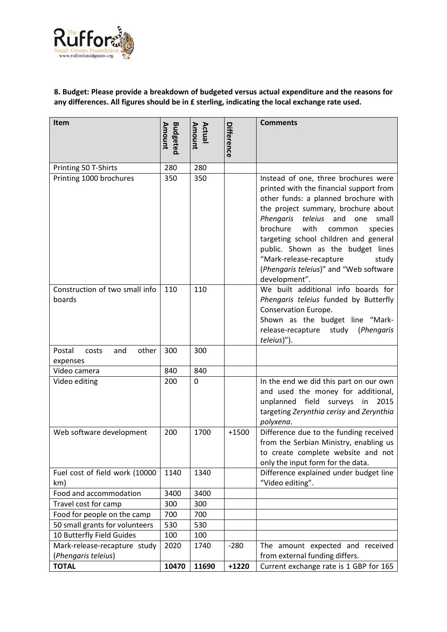

## **8. Budget: Please provide a breakdown of budgeted versus actual expenditure and the reasons for any differences. All figures should be in £ sterling, indicating the local exchange rate used.**

| Item                                                                | <b>Budgeted</b><br>Amount | Amount<br>Actual | Difference        | <b>Comments</b>                                                                                                                                                                                                                                                                                                                                                                                                            |
|---------------------------------------------------------------------|---------------------------|------------------|-------------------|----------------------------------------------------------------------------------------------------------------------------------------------------------------------------------------------------------------------------------------------------------------------------------------------------------------------------------------------------------------------------------------------------------------------------|
| Printing 50 T-Shirts                                                | 280                       | 280              |                   |                                                                                                                                                                                                                                                                                                                                                                                                                            |
| Printing 1000 brochures                                             | 350                       | 350              |                   | Instead of one, three brochures were<br>printed with the financial support from<br>other funds: a planned brochure with<br>the project summary, brochure about<br>Phengaris teleius and one<br>small<br>brochure<br>with<br>species<br>common<br>targeting school children and general<br>public. Shown as the budget lines<br>"Mark-release-recapture<br>study<br>(Phengaris teleius)" and "Web software<br>development". |
| Construction of two small info<br>boards                            | 110                       | 110              |                   | We built additional info boards for<br>Phengaris teleius funded by Butterfly<br>Conservation Europe.<br>Shown as the budget line "Mark-<br>release-recapture study (Phengaris<br>teleius)").                                                                                                                                                                                                                               |
| Postal<br>other<br>and<br>costs<br>expenses                         | 300                       | 300              |                   |                                                                                                                                                                                                                                                                                                                                                                                                                            |
| Video camera                                                        | 840                       | 840              |                   |                                                                                                                                                                                                                                                                                                                                                                                                                            |
| Video editing                                                       | 200                       | 0                |                   | In the end we did this part on our own<br>and used the money for additional,<br>unplanned field surveys in<br>2015<br>targeting Zerynthia cerisy and Zerynthia<br>polyxena.                                                                                                                                                                                                                                                |
| Web software development                                            | 200                       | 1700             | $+1500$           | Difference due to the funding received<br>from the Serbian Ministry, enabling us<br>to create complete website and not<br>only the input form for the data.                                                                                                                                                                                                                                                                |
| Fuel cost of field work (10000<br>km)                               | 1140                      | 1340             |                   | Difference explained under budget line<br>"Video editing".                                                                                                                                                                                                                                                                                                                                                                 |
| Food and accommodation                                              | 3400                      | 3400             |                   |                                                                                                                                                                                                                                                                                                                                                                                                                            |
| Travel cost for camp                                                | 300                       | 300              |                   |                                                                                                                                                                                                                                                                                                                                                                                                                            |
| Food for people on the camp                                         | 700                       | 700              |                   |                                                                                                                                                                                                                                                                                                                                                                                                                            |
| 50 small grants for volunteers                                      | 530                       | 530              |                   |                                                                                                                                                                                                                                                                                                                                                                                                                            |
| 10 Butterfly Field Guides                                           | 100                       | 100              |                   |                                                                                                                                                                                                                                                                                                                                                                                                                            |
| Mark-release-recapture study<br>(Phengaris teleius)<br><b>TOTAL</b> | 2020<br>10470             | 1740<br>11690    | $-280$<br>$+1220$ | The amount expected and received<br>from external funding differs.<br>Current exchange rate is 1 GBP for 165                                                                                                                                                                                                                                                                                                               |
|                                                                     |                           |                  |                   |                                                                                                                                                                                                                                                                                                                                                                                                                            |